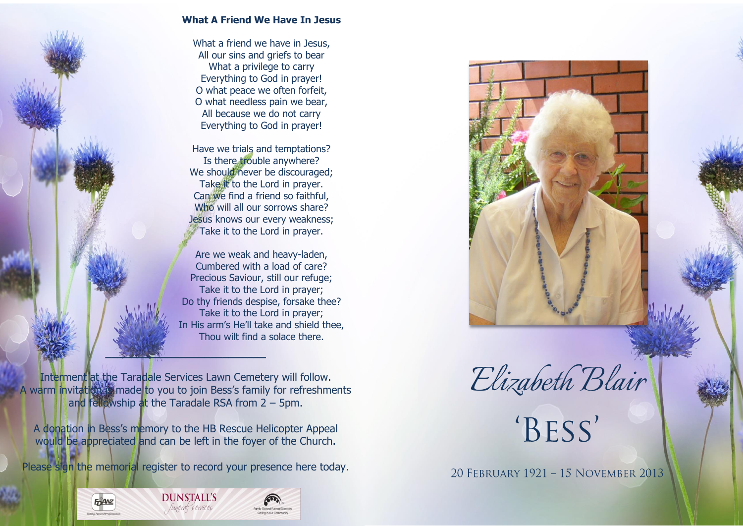

## **What A Friend We Have In Jesus**

What a friend we have in Jesus, All our sins and griefs to bear What a privilege to carry Everything to God in prayer! O what peace we often forfeit, O what needless pain we bear, All because we do not carry Everything to God in prayer!

Have we trials and temptations? Is there trouble anywhere? We should never be discouraged; Take it to the Lord in prayer. Can we find a friend so faithful, Who will all our sorrows share? Jesus knows our every weakness; Take it to the Lord in prayer.

Are we weak and heavy-laden, Cumbered with a load of care? Precious Saviour, still our refuge; Take it to the Lord in prayer; Do thy friends despise, forsake thee? Take it to the Lord in prayer; In His arm's He'll take and shield thee, Thou wilt find a solace there.

Interment at the Taradale Services Lawn Cemetery will follow. A warm invitation is made to you to join Bess's family for refreshments and fellowship at the Taradale RSA from 2 – 5pm.

A donation in Bess's memory to the HB Rescue Helicopter Appeal would be appreciated and can be left in the foyer of the Church.

Please sign the memorial register to record your presence here today.







20 FEBRUARY 1921 - 15 NOVEMBER 2013